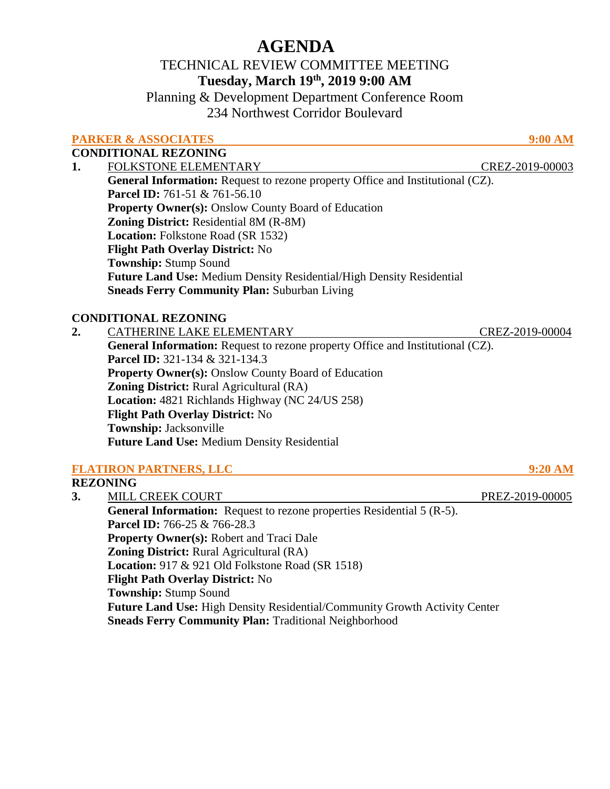# **AGENDA**

## TECHNICAL REVIEW COMMITTEE MEETING **Tuesday, March 19th, 2019 9:00 AM**

Planning & Development Department Conference Room 234 Northwest Corridor Boulevard

## **PARKER & ASSOCIATES** 9:00 AM

**CONDITIONAL REZONING**

**1.** FOLKSTONE ELEMENTARY CREZ-2019-00003 General Information: Request to rezone property Office and Institutional (CZ). **Parcel ID:** 761-51 & 761-56.10 **Property Owner(s):** Onslow County Board of Education **Zoning District:** Residential 8M (R-8M)  **Location:** Folkstone Road (SR 1532)  **Flight Path Overlay District:** No  **Township:** Stump Sound **Future Land Use:** Medium Density Residential/High Density Residential **Sneads Ferry Community Plan:** Suburban Living

## **CONDITIONAL REZONING**

**2.** CATHERINE LAKE ELEMENTARY CREZ-2019-00004 **General Information:** Request to rezone property Office and Institutional (CZ). **Parcel ID:** 321-134 & 321-134.3 **Property Owner(s): Onslow County Board of Education Zoning District:** Rural Agricultural (RA)  **Location:** 4821 Richlands Highway (NC 24/US 258)  **Flight Path Overlay District:** No  **Township:** Jacksonville **Future Land Use:** Medium Density Residential

## **FLATIRON PARTNERS, LLC 9:20 AM**

## **REZONING**

**3.** MILL CREEK COURT PREZ-2019-00005 **General Information:** Request to rezone properties Residential 5 (R-5). **Parcel ID:** 766-25 & 766-28.3 **Property Owner(s):** Robert and Traci Dale **Zoning District:** Rural Agricultural (RA)  **Location:** 917 & 921 Old Folkstone Road (SR 1518)  **Flight Path Overlay District:** No  **Township:** Stump Sound **Future Land Use:** High Density Residential/Community Growth Activity Center **Sneads Ferry Community Plan:** Traditional Neighborhood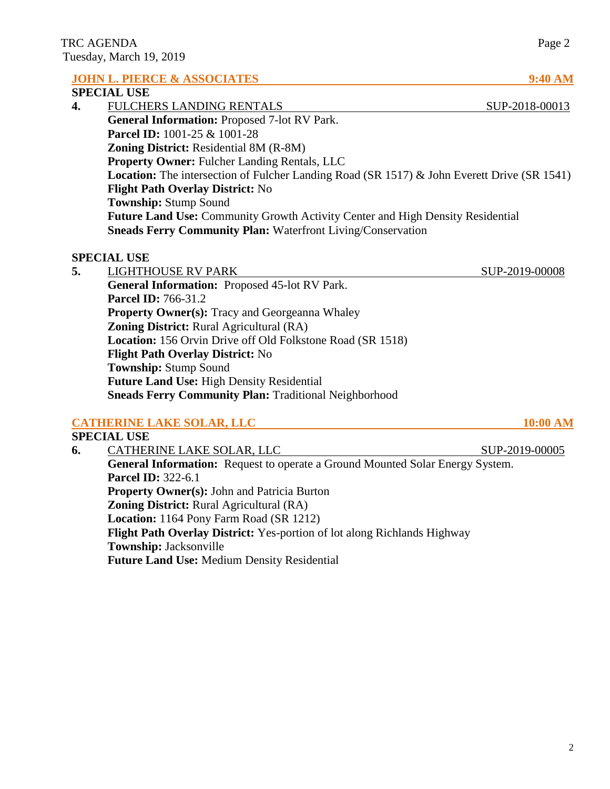|    | <b>JOHN L. PIERCE &amp; ASSOCIATES</b>                                                             | <b>9:40 AM</b> |  |
|----|----------------------------------------------------------------------------------------------------|----------------|--|
|    | <b>SPECIAL USE</b>                                                                                 |                |  |
| 4. | <b>FULCHERS LANDING RENTALS</b>                                                                    | SUP-2018-00013 |  |
|    | General Information: Proposed 7-lot RV Park.                                                       |                |  |
|    | <b>Parcel ID:</b> 1001-25 & 1001-28                                                                |                |  |
|    | <b>Zoning District:</b> Residential 8M (R-8M)                                                      |                |  |
|    | <b>Property Owner: Fulcher Landing Rentals, LLC</b>                                                |                |  |
|    | <b>Location:</b> The intersection of Fulcher Landing Road (SR 1517) & John Everett Drive (SR 1541) |                |  |
|    | <b>Flight Path Overlay District: No</b>                                                            |                |  |
|    | <b>Township:</b> Stump Sound                                                                       |                |  |
|    | <b>Future Land Use:</b> Community Growth Activity Center and High Density Residential              |                |  |
|    | <b>Sneads Ferry Community Plan: Waterfront Living/Conservation</b>                                 |                |  |
|    |                                                                                                    |                |  |

#### **SPECIAL USE**

**5.** LIGHTHOUSE RV PARK SUP-2019-00008 **General Information:** Proposed 45-lot RV Park. **Parcel ID:** 766-31.2 **Property Owner(s):** Tracy and Georgeanna Whaley **Zoning District:** Rural Agricultural (RA)  **Location:** 156 Orvin Drive off Old Folkstone Road (SR 1518)  **Flight Path Overlay District:** No  **Township:** Stump Sound **Future Land Use:** High Density Residential **Sneads Ferry Community Plan:** Traditional Neighborhood

#### **CATHERINE LAKE SOLAR, LLC** 10:00 AM

### **SPECIAL USE 6.** CATHERINE LAKE SOLAR, LLC SUP-2019-00005 **General Information:** Request to operate a Ground Mounted Solar Energy System. **Parcel ID:** 322-6.1 **Property Owner(s):** John and Patricia Burton **Zoning District:** Rural Agricultural (RA)  **Location:** 1164 Pony Farm Road (SR 1212)  **Flight Path Overlay District:** Yes-portion of lot along Richlands Highway  **Township:** Jacksonville **Future Land Use:** Medium Density Residential